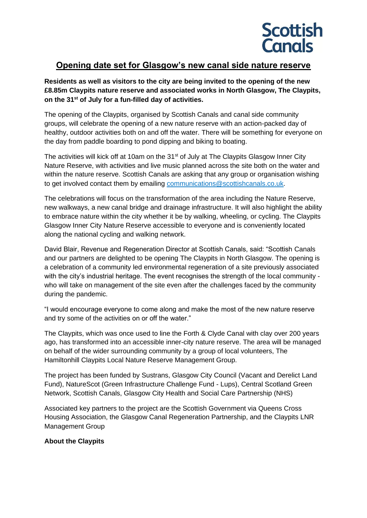

## **Opening date set for Glasgow's new canal side nature reserve**

**Residents as well as visitors to the city are being invited to the opening of the new £8.85m Claypits nature reserve and associated works in North Glasgow, The Claypits, on the 31st of July for a fun-filled day of activities.**

The opening of the Claypits, organised by Scottish Canals and canal side community groups, will celebrate the opening of a new nature reserve with an action-packed day of healthy, outdoor activities both on and off the water. There will be something for everyone on the day from paddle boarding to pond dipping and biking to boating.

The activities will kick off at 10am on the 31<sup>st</sup> of July at The Claypits Glasgow Inner City Nature Reserve, with activities and live music planned across the site both on the water and within the nature reserve. Scottish Canals are asking that any group or organisation wishing to get involved contact them by emailing [communications@scottishcanals.co.uk.](mailto:communications@scottishcanals.co.uk)

The celebrations will focus on the transformation of the area including the Nature Reserve, new walkways, a new canal bridge and drainage infrastructure. It will also highlight the ability to embrace nature within the city whether it be by walking, wheeling, or cycling. The Claypits Glasgow Inner City Nature Reserve accessible to everyone and is conveniently located along the national cycling and walking network.

David Blair, Revenue and Regeneration Director at Scottish Canals, said: "Scottish Canals and our partners are delighted to be opening The Claypits in North Glasgow. The opening is a celebration of a community led environmental regeneration of a site previously associated with the city's industrial heritage. The event recognises the strength of the local community who will take on management of the site even after the challenges faced by the community during the pandemic.

"I would encourage everyone to come along and make the most of the new nature reserve and try some of the activities on or off the water."

The Claypits, which was once used to line the Forth & Clyde Canal with clay over 200 years ago, has transformed into an accessible inner-city nature reserve. The area will be managed on behalf of the wider surrounding community by a group of local volunteers, The Hamiltonhill Claypits Local Nature Reserve Management Group.

The project has been funded by Sustrans, Glasgow City Council (Vacant and Derelict Land Fund), NatureScot (Green Infrastructure Challenge Fund - Lups), Central Scotland Green Network, Scottish Canals, Glasgow City Health and Social Care Partnership (NHS)

Associated key partners to the project are the Scottish Government via Queens Cross Housing Association, the Glasgow Canal Regeneration Partnership, and the Claypits LNR Management Group

## **About the Claypits**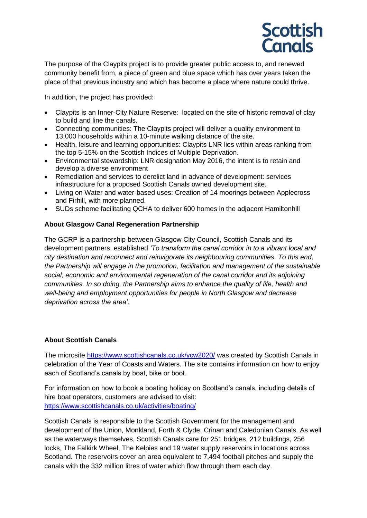

The purpose of the Claypits project is to provide greater public access to, and renewed community benefit from, a piece of green and blue space which has over years taken the place of that previous industry and which has become a place where nature could thrive.

In addition, the project has provided:

- Claypits is an Inner-City Nature Reserve: located on the site of historic removal of clay to build and line the canals.
- Connecting communities: The Claypits project will deliver a quality environment to 13,000 households within a 10-minute walking distance of the site.
- Health, leisure and learning opportunities: Claypits LNR lies within areas ranking from the top 5-15% on the Scottish Indices of Multiple Deprivation.
- Environmental stewardship: LNR designation May 2016, the intent is to retain and develop a diverse environment
- Remediation and services to derelict land in advance of development: services infrastructure for a proposed Scottish Canals owned development site.
- Living on Water and water-based uses: Creation of 14 moorings between Applecross and Firhill, with more planned.
- SUDs scheme facilitating QCHA to deliver 600 homes in the adjacent Hamiltonhill

## **About Glasgow Canal Regeneration Partnership**

The GCRP is a partnership between Glasgow City Council, Scottish Canals and its development partners, established *'To transform the canal corridor in to a vibrant local and city destination and reconnect and reinvigorate its neighbouring communities. To this end, the Partnership will engage in the promotion, facilitation and management of the sustainable social, economic and environmental regeneration of the canal corridor and its adjoining communities. In so doing, the Partnership aims to enhance the quality of life, health and well-being and employment opportunities for people in North Glasgow and decrease deprivation across the area'.*

## **About Scottish Canals**

The microsite <https://www.scottishcanals.co.uk/ycw2020/> was created by Scottish Canals in celebration of the Year of Coasts and Waters. The site contains information on how to enjoy each of Scotland's canals by boat, bike or boot.

For information on how to book a boating holiday on Scotland's canals, including details of hire boat operators, customers are advised to visit: <https://www.scottishcanals.co.uk/activities/boating/>

Scottish Canals is responsible to the Scottish Government for the management and development of the Union, Monkland, Forth & Clyde, Crinan and Caledonian Canals. As well as the waterways themselves, Scottish Canals care for 251 bridges, 212 buildings, 256 locks, The Falkirk Wheel, The Kelpies and 19 water supply reservoirs in locations across Scotland. The reservoirs cover an area equivalent to 7,494 football pitches and supply the canals with the 332 million litres of water which flow through them each day.